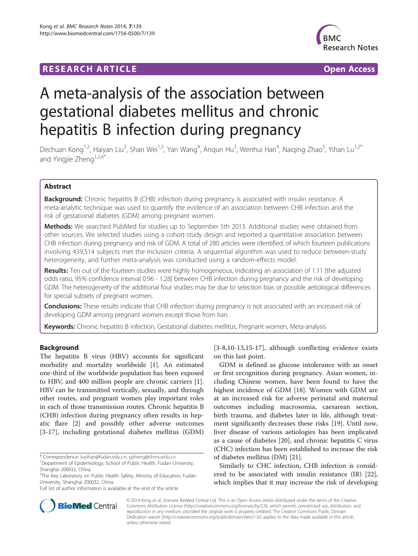## **RESEARCH ARTICLE Example 2014 CONSIDERING A RESEARCH ARTICLE**



# A meta-analysis of the association between gestational diabetes mellitus and chronic hepatitis B infection during pregnancy

Dechuan Kong<sup>1,2</sup>, Haiyan Liu<sup>3</sup>, Shan Wei<sup>1,2</sup>, Yan Wang<sup>4</sup>, Anqun Hu<sup>3</sup>, Wenhui Han<sup>4</sup>, Naiqing Zhao<sup>5</sup>, Yihan Lu<sup>1,2\*</sup> and Yingjie Zheng<sup>1,2,6\*</sup>

## Abstract

**Background:** Chronic hepatitis B (CHB) infection during pregnancy is associated with insulin resistance. A meta-analytic technique was used to quantify the evidence of an association between CHB infection and the risk of gestational diabetes (GDM) among pregnant women.

Methods: We searched PubMed for studies up to September 5th 2013. Additional studies were obtained from other sources. We selected studies using a cohort-study design and reported a quantitative association between CHB infection during pregnancy and risk of GDM. A total of 280 articles were identified, of which fourteen publications involving 439,514 subjects met the inclusion criteria. A sequential algorithm was used to reduce between-study heterogeneity, and further meta-analysis was conducted using a random-effects model.

Results: Ten out of the fourteen studies were highly homogeneous, indicating an association of 1.11 [the adjusted odds ratio, 95% confidence interval 0.96 - 1.28] between CHB infection during pregnancy and the risk of developing GDM. The heterogeneity of the additional four studies may be due to selection bias or possible aetiological differences for special subsets of pregnant women.

Conclusions: These results indicate that CHB infection during pregnancy is not associated with an increased risk of developing GDM among pregnant women except those from Iran.

Keywords: Chronic hepatitis B infection, Gestational diabetes mellitus, Pregnant women, Meta-analysis

## Background

The hepatitis B virus (HBV) accounts for significant morbidity and mortality worldwide [\[1](#page-9-0)]. An estimated one-third of the worldwide population has been exposed to HBV, and 400 million people are chronic carriers [\[1](#page-9-0)]. HBV can be transmitted vertically, sexually, and through other routes, and pregnant women play important roles in each of those transmission routes. Chronic hepatitis B (CHB) infection during pregnancy often results in hepatic flare [[2\]](#page-9-0) and possibly other adverse outcomes [[3-](#page-9-0)[17\]](#page-10-0), including gestational diabetes mellitus (GDM)

[[3-8,10-13,15](#page-9-0)[-17](#page-10-0)], although conflicting evidence exists on this last point.

GDM is defined as glucose intolerance with an onset or first recognition during pregnancy. Asian women, including Chinese women, have been found to have the highest incidence of GDM [[18\]](#page-10-0). Women with GDM are at an increased risk for adverse perinatal and maternal outcomes including macrosomia, caesarean section, birth trauma, and diabetes later in life, although treatment significantly decreases these risks [\[19](#page-10-0)]. Until now, liver disease of various aetiologies has been implicated as a cause of diabetes [\[20](#page-10-0)], and chronic hepatitis C virus (CHC) infection has been established to increase the risk of diabetes mellitus (DM) [[21\]](#page-10-0).

Similarly to CHC infection, CHB infection is considered to be associated with insulin resistance (IR) [\[22](#page-10-0)], which implies that it may increase the risk of developing



© 2014 Kong et al.; licensee BioMed Central Ltd. This is an Open Access article distributed under the terms of the Creative Commons Attribution License [\(http://creativecommons.org/licenses/by/2.0\)](http://creativecommons.org/licenses/by/2.0), which permits unrestricted use, distribution, and reproduction in any medium, provided the original work is properly credited. The Creative Commons Public Domain Dedication waiver [\(http://creativecommons.org/publicdomain/zero/1.0/](http://creativecommons.org/publicdomain/zero/1.0/)) applies to the data made available in this article, unless otherwise stated.

<sup>\*</sup> Correspondence: [luyihan@fudan.edu.cn](mailto:luyihan@fudan.edu.cn); [yjzheng@shmu.edu.cn](mailto:yjzheng@shmu.edu.cn) <sup>1</sup> <sup>1</sup>Department of Epidemiology, School of Public Health, Fudan University, Shanghai 200032, China

<sup>&</sup>lt;sup>2</sup>The Key Laboratory on Public Health Safety, Ministry of Education, Fudan University, Shanghai 200032, China

Full list of author information is available at the end of the article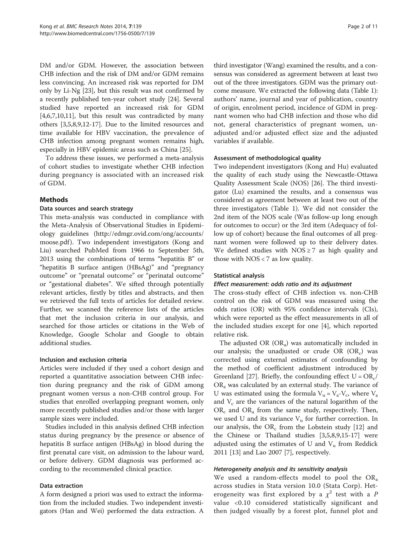DM and/or GDM. However, the association between CHB infection and the risk of DM and/or GDM remains less convincing. An increased risk was reported for DM only by Li-Ng [[23](#page-10-0)], but this result was not confirmed by a recently published ten-year cohort study [\[24](#page-10-0)]. Several studied have reported an increased risk for GDM  $[4,6,7,10,11]$  $[4,6,7,10,11]$ , but this result was contradicted by many others [\[3,5,8,9](#page-9-0),[12](#page-9-0)-[17\]](#page-10-0). Due to the limited resources and time available for HBV vaccination, the prevalence of CHB infection among pregnant women remains high, especially in HBV epidemic areas such as China [\[25](#page-10-0)].

To address these issues, we performed a meta-analysis of cohort studies to investigate whether CHB infection during pregnancy is associated with an increased risk of GDM.

## Methods

## Data sources and search strategy

This meta-analysis was conducted in compliance with the Meta-Analysis of Observational Studies in Epidemiology guidelines ([http://edmgr.ovid.com/ong/accounts/](http://edmgr.ovid.com/ong/accounts/moose.pdf) [moose.pdf](http://edmgr.ovid.com/ong/accounts/moose.pdf)). Two independent investigators (Kong and Liu) searched PubMed from 1966 to September 5th, 2013 using the combinations of terms "hepatitis B" or "hepatitis B surface antigen (HBsAg)" and "pregnancy outcome" or "prenatal outcome" or "perinatal outcome" or "gestational diabetes". We sifted through potentially relevant articles, firstly by titles and abstracts, and then we retrieved the full texts of articles for detailed review. Further, we scanned the reference lists of the articles that met the inclusion criteria in our analysis, and searched for those articles or citations in the Web of Knowledge, Google Scholar and Google to obtain additional studies.

## Inclusion and exclusion criteria

Articles were included if they used a cohort design and reported a quantitative association between CHB infection during pregnancy and the risk of GDM among pregnant women versus a non-CHB control group. For studies that enrolled overlapping pregnant women, only more recently published studies and/or those with larger sample sizes were included.

Studies included in this analysis defined CHB infection status during pregnancy by the presence or absence of hepatitis B surface antigen (HBsAg) in blood during the first prenatal care visit, on admission to the labour ward, or before delivery. GDM diagnosis was performed according to the recommended clinical practice.

## Data extraction

A form designed a priori was used to extract the information from the included studies. Two independent investigators (Han and Wei) performed the data extraction. A

third investigator (Wang) examined the results, and a consensus was considered as agreement between at least two out of the three investigators. GDM was the primary outcome measure. We extracted the following data (Table [1](#page-2-0)): authors' name, journal and year of publication, country of origin, enrolment period, incidence of GDM in pregnant women who had CHB infection and those who did not, general characteristics of pregnant women, unadjusted and/or adjusted effect size and the adjusted variables if available.

#### Assessment of methodological quality

Two independent investigators (Kong and Hu) evaluated the quality of each study using the Newcastle-Ottawa Quality Assessment Scale (NOS) [[26\]](#page-10-0). The third investigator (Lu) examined the results, and a consensus was considered as agreement between at least two out of the three investigators (Table [1](#page-2-0)). We did not consider the 2nd item of the NOS scale (Was follow-up long enough for outcomes to occur) or the 3rd item (Adequacy of follow up of cohort) because the final outcomes of all pregnant women were followed up to their delivery dates. We defined studies with  $NOS \ge 7$  as high quality and those with  $NOS < 7$  as low quality.

#### Statistical analysis

## Effect measurement: odds ratio and its adjustment

The cross-study effect of CHB infection vs. non-CHB control on the risk of GDM was measured using the odds ratios (OR) with 95% confidence intervals (CIs), which were reported as the effect measurements in all of the included studies except for one [\[4\]](#page-9-0), which reported relative risk.

The adjusted OR  $(OR<sub>a</sub>)$  was automatically included in our analysis; the unadjusted or crude OR  $(OR<sub>c</sub>)$  was corrected using external estimates of confounding by the method of coefficient adjustment introduced by Greenland [\[27\]](#page-10-0). Briefly, the confounding effect  $U = OR_c/$  $OR<sub>a</sub>$  was calculated by an external study. The variance of U was estimated using the formula  $V_u = V_a - V_c$ , where  $V_a$ and  $V_c$  are the variances of the natural logarithm of the  $OR_c$  and  $OR_a$  from the same study, respectively. Then, we used U and its variance  $V_u$  for further correction. In our analysis, the  $OR_c$  from the Lobstein study [[12](#page-9-0)] and the Chinese or Thailand studies [\[3,5,8,9](#page-9-0),[15](#page-9-0)-[17\]](#page-10-0) were adjusted using the estimates of U and  $V<sub>u</sub>$  from Reddick 2011 [\[13](#page-9-0)] and Lao 2007 [\[7](#page-9-0)], respectively.

## Heterogeneity analysis and its sensitivity analysis

We used a random-effects model to pool the  $OR_a$ across studies in Stata version 10.0 (Stata Corp). Heterogeneity was first explored by a  $\chi^2$  test with a P value <0.10 considered statistically significant and then judged visually by a forest plot, funnel plot and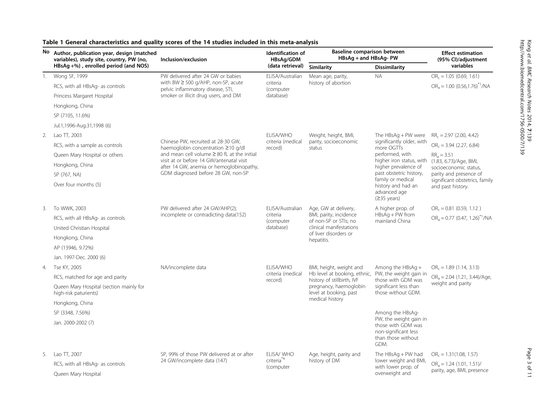| No. | Author, publication year, design (matched<br>variables), study site, country, PW (no, | Inclusion/exclusion                              | Identification of<br>HBsAq/GDM<br>(data retrieval)                                                                                                                                                                                                                                                                                                                                                                                                                                                                                                                                                                                                                                                                                                                                                                                                                                                                                                                                                                                                                                                                                                                                                                                                                                                                                            | <b>Baseline comparison between</b><br>HBsAg + and HBsAg- PW |                      | <b>Effect estimation</b><br>(95% Cl)/adjustment |                                              |
|-----|---------------------------------------------------------------------------------------|--------------------------------------------------|-----------------------------------------------------------------------------------------------------------------------------------------------------------------------------------------------------------------------------------------------------------------------------------------------------------------------------------------------------------------------------------------------------------------------------------------------------------------------------------------------------------------------------------------------------------------------------------------------------------------------------------------------------------------------------------------------------------------------------------------------------------------------------------------------------------------------------------------------------------------------------------------------------------------------------------------------------------------------------------------------------------------------------------------------------------------------------------------------------------------------------------------------------------------------------------------------------------------------------------------------------------------------------------------------------------------------------------------------|-------------------------------------------------------------|----------------------|-------------------------------------------------|----------------------------------------------|
|     | HBsAg +%), enrolled period (and NOS)                                                  |                                                  |                                                                                                                                                                                                                                                                                                                                                                                                                                                                                                                                                                                                                                                                                                                                                                                                                                                                                                                                                                                                                                                                                                                                                                                                                                                                                                                                               | Similarity                                                  | <b>Dissimilarity</b> | variables                                       |                                              |
| 1.  | Wong SF, 1999                                                                         | PW delivered after 24 GW or babies               | ELISA/Australian                                                                                                                                                                                                                                                                                                                                                                                                                                                                                                                                                                                                                                                                                                                                                                                                                                                                                                                                                                                                                                                                                                                                                                                                                                                                                                                              | Mean age, parity,                                           | <b>NA</b>            | $OR_c = 1.05$ (0.69, 1.61)                      |                                              |
|     | RCS, with all HBsAg- as controls                                                      |                                                  | criteria<br>history of abortion<br>(computer<br>database)<br>ELISA/WHO<br>Weight, height, BMI,<br>The $HBSAg + PW$ were<br>significantly older, with<br>criteria (medical<br>parity, socioeconomic<br>more OGTTs<br>record)<br>status<br>performed, with<br>$RRa = 3.51$<br>higher iron status, with<br>higher prevalence of<br>past obstetric history,<br>family or medical<br>history and had an<br>advanced age<br>$(≥35 \text{ years})$<br>ELISA/Australian<br>Age, GW at delivery,<br>A higher prop. of<br>HBsAg + PW from<br>BMI, parity, incidence<br>criteria<br>of non-SP or STIs: no<br>mainland China<br>(computer<br>clinical manifestations<br>database)<br>of liver disorders or<br>hepatitis.<br>ELISA/WHO<br>BMI, height, weight and<br>Among the HBsAg +<br>Hb level at booking, ethnic,<br>PW, the weight gain in<br>criteria (medical<br>history of stillbirth, IVF<br>those with GDM was<br>record)<br>pregnancy, haemoglobin<br>significant less than<br>level at booking, past<br>those without GDM.<br>medical history<br>Among the HBsAg-<br>PW, the weight gain in<br>those with GDM was<br>non-significant less<br>than those without<br>GDM.<br>ELISA/WHO<br>The HBsAg + PW had<br>Age, height, parity and<br>criteria <sup>*4</sup><br>history of DM<br>lower weight and BMI,<br>with lower prop. of<br>(computer | $OR_a = 1.00 (0.56, 1.76)^{*1} / NA$                        |                      |                                                 |                                              |
|     | Princess Margaret Hospital                                                            | smoker or illicit drug users, and DM             |                                                                                                                                                                                                                                                                                                                                                                                                                                                                                                                                                                                                                                                                                                                                                                                                                                                                                                                                                                                                                                                                                                                                                                                                                                                                                                                                               |                                                             |                      |                                                 |                                              |
|     | Hongkong, China                                                                       |                                                  |                                                                                                                                                                                                                                                                                                                                                                                                                                                                                                                                                                                                                                                                                                                                                                                                                                                                                                                                                                                                                                                                                                                                                                                                                                                                                                                                               |                                                             |                      |                                                 |                                              |
|     | SP (7105, 11.6%)                                                                      |                                                  |                                                                                                                                                                                                                                                                                                                                                                                                                                                                                                                                                                                                                                                                                                                                                                                                                                                                                                                                                                                                                                                                                                                                                                                                                                                                                                                                               |                                                             |                      |                                                 |                                              |
|     | Jul.1,1996-Aug.31,1998 (6)                                                            |                                                  |                                                                                                                                                                                                                                                                                                                                                                                                                                                                                                                                                                                                                                                                                                                                                                                                                                                                                                                                                                                                                                                                                                                                                                                                                                                                                                                                               |                                                             |                      |                                                 |                                              |
| 2.  | Lao TT, 2003                                                                          |                                                  | with BW $\geq$ 500 g/AHP, non-SP, acute<br>pelvic inflammatory disease, STI,<br>$RRc = 2.97 (2.00, 4.42)$<br>Chinese PW, recruited at 28-30 GW,<br>$OR_c = 3.94$ (2.27, 6.84)<br>haemoglobin concentration ≥10 g/dl<br>visit at or before 14 GW/antenatal visit<br>(1.83, 6.73)/Age, BMI,<br>after 14 GW, anemia or hemoglobinopathy,<br>socioeconomic status,<br>parity and presence of<br>and past history.<br>$OR_c = 0.81$ (0.59, 1.12)<br>incomplete or contradicting data(152)<br>$OR_c = 1.89$ (1.14, 3.13)<br>weight and parity                                                                                                                                                                                                                                                                                                                                                                                                                                                                                                                                                                                                                                                                                                                                                                                                       |                                                             |                      |                                                 |                                              |
|     | RCS, with a sample as controls                                                        |                                                  |                                                                                                                                                                                                                                                                                                                                                                                                                                                                                                                                                                                                                                                                                                                                                                                                                                                                                                                                                                                                                                                                                                                                                                                                                                                                                                                                               |                                                             |                      |                                                 |                                              |
|     | Queen Mary Hospital or others                                                         | and mean cell volume $\geq$ 80 fL at the initial |                                                                                                                                                                                                                                                                                                                                                                                                                                                                                                                                                                                                                                                                                                                                                                                                                                                                                                                                                                                                                                                                                                                                                                                                                                                                                                                                               |                                                             |                      |                                                 |                                              |
|     | Hongkong, China                                                                       |                                                  |                                                                                                                                                                                                                                                                                                                                                                                                                                                                                                                                                                                                                                                                                                                                                                                                                                                                                                                                                                                                                                                                                                                                                                                                                                                                                                                                               |                                                             |                      |                                                 |                                              |
|     | SP (767, NA)                                                                          | GDM diagnosed before 28 GW, non-SP               |                                                                                                                                                                                                                                                                                                                                                                                                                                                                                                                                                                                                                                                                                                                                                                                                                                                                                                                                                                                                                                                                                                                                                                                                                                                                                                                                               |                                                             |                      |                                                 |                                              |
|     | Over four months (5)                                                                  |                                                  |                                                                                                                                                                                                                                                                                                                                                                                                                                                                                                                                                                                                                                                                                                                                                                                                                                                                                                                                                                                                                                                                                                                                                                                                                                                                                                                                               |                                                             |                      |                                                 |                                              |
| 3.  | To WWK, 2003                                                                          | PW delivered after 24 GW/AHP(2);                 |                                                                                                                                                                                                                                                                                                                                                                                                                                                                                                                                                                                                                                                                                                                                                                                                                                                                                                                                                                                                                                                                                                                                                                                                                                                                                                                                               |                                                             |                      |                                                 |                                              |
|     | RCS, with all HBsAg- as controls                                                      |                                                  |                                                                                                                                                                                                                                                                                                                                                                                                                                                                                                                                                                                                                                                                                                                                                                                                                                                                                                                                                                                                                                                                                                                                                                                                                                                                                                                                               |                                                             |                      |                                                 | $OR_a = 0.77$ (0.47, 1.26) <sup>*1</sup> /NA |
|     | United Christian Hospital                                                             |                                                  |                                                                                                                                                                                                                                                                                                                                                                                                                                                                                                                                                                                                                                                                                                                                                                                                                                                                                                                                                                                                                                                                                                                                                                                                                                                                                                                                               |                                                             |                      |                                                 |                                              |
|     | Hongkong, China                                                                       |                                                  |                                                                                                                                                                                                                                                                                                                                                                                                                                                                                                                                                                                                                                                                                                                                                                                                                                                                                                                                                                                                                                                                                                                                                                                                                                                                                                                                               |                                                             |                      |                                                 |                                              |
|     | AP (13946, 9.72%)                                                                     |                                                  |                                                                                                                                                                                                                                                                                                                                                                                                                                                                                                                                                                                                                                                                                                                                                                                                                                                                                                                                                                                                                                                                                                                                                                                                                                                                                                                                               |                                                             |                      |                                                 |                                              |
|     | Jan. 1997-Dec. 2000 (6)                                                               |                                                  |                                                                                                                                                                                                                                                                                                                                                                                                                                                                                                                                                                                                                                                                                                                                                                                                                                                                                                                                                                                                                                                                                                                                                                                                                                                                                                                                               |                                                             |                      |                                                 |                                              |
| 4.  | Tse KY, 2005                                                                          | NA/incomplete data                               | significant obstetrics, family<br>$ORa = 2.04 (1.21, 3.44)/Age,$<br>$OR_c = 1.31(1.08, 1.57)$<br>$ORa = 1.24 (1.01, 1.51)$ /<br>parity, age, BMI, presence                                                                                                                                                                                                                                                                                                                                                                                                                                                                                                                                                                                                                                                                                                                                                                                                                                                                                                                                                                                                                                                                                                                                                                                    |                                                             |                      |                                                 |                                              |
|     | RCS, matched for age and parity                                                       |                                                  |                                                                                                                                                                                                                                                                                                                                                                                                                                                                                                                                                                                                                                                                                                                                                                                                                                                                                                                                                                                                                                                                                                                                                                                                                                                                                                                                               |                                                             |                      |                                                 |                                              |
|     | Queen Mary Hospital (section mainly for<br>high-risk paturients)                      |                                                  |                                                                                                                                                                                                                                                                                                                                                                                                                                                                                                                                                                                                                                                                                                                                                                                                                                                                                                                                                                                                                                                                                                                                                                                                                                                                                                                                               |                                                             |                      |                                                 |                                              |
|     | Hongkong, China                                                                       |                                                  |                                                                                                                                                                                                                                                                                                                                                                                                                                                                                                                                                                                                                                                                                                                                                                                                                                                                                                                                                                                                                                                                                                                                                                                                                                                                                                                                               |                                                             |                      |                                                 |                                              |
|     | SP (3348, 7.56%)                                                                      |                                                  |                                                                                                                                                                                                                                                                                                                                                                                                                                                                                                                                                                                                                                                                                                                                                                                                                                                                                                                                                                                                                                                                                                                                                                                                                                                                                                                                               |                                                             |                      |                                                 |                                              |
|     | Jan. 2000-2002 (7)                                                                    |                                                  |                                                                                                                                                                                                                                                                                                                                                                                                                                                                                                                                                                                                                                                                                                                                                                                                                                                                                                                                                                                                                                                                                                                                                                                                                                                                                                                                               |                                                             |                      |                                                 |                                              |
| 5.  | Lao TT, 2007                                                                          | SP, 99% of those PW delivered at or after        |                                                                                                                                                                                                                                                                                                                                                                                                                                                                                                                                                                                                                                                                                                                                                                                                                                                                                                                                                                                                                                                                                                                                                                                                                                                                                                                                               |                                                             | overweight and       |                                                 |                                              |
|     | RCS, with all HBsAq- as controls                                                      | 24 GW/incomplete data (147)                      |                                                                                                                                                                                                                                                                                                                                                                                                                                                                                                                                                                                                                                                                                                                                                                                                                                                                                                                                                                                                                                                                                                                                                                                                                                                                                                                                               |                                                             |                      |                                                 |                                              |
|     | Queen Mary Hospital                                                                   |                                                  |                                                                                                                                                                                                                                                                                                                                                                                                                                                                                                                                                                                                                                                                                                                                                                                                                                                                                                                                                                                                                                                                                                                                                                                                                                                                                                                                               |                                                             |                      |                                                 |                                              |

## <span id="page-2-0"></span>Table 1 General characteristics and quality scores of the 14 studies included in this meta-analysis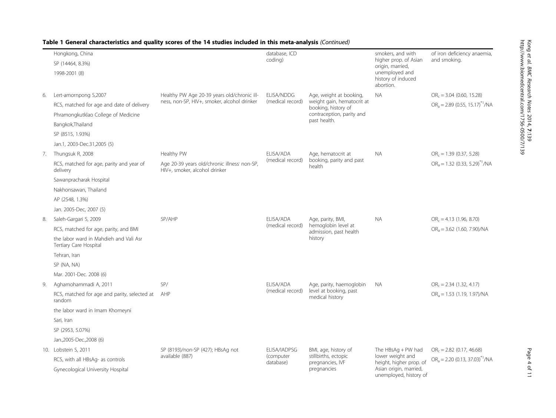|    | Hongkong, China                                                  | database, ICD<br>coding)                                                                  |                                        | smokers, and with<br>higher prop. of Asian<br>origin, married,                                 | of iron deficiency anaemia,<br>and smoking.                                                                                            |                                                                            |
|----|------------------------------------------------------------------|-------------------------------------------------------------------------------------------|----------------------------------------|------------------------------------------------------------------------------------------------|----------------------------------------------------------------------------------------------------------------------------------------|----------------------------------------------------------------------------|
|    | SP (14464, 8.3%)                                                 |                                                                                           |                                        |                                                                                                |                                                                                                                                        |                                                                            |
|    | 1998-2001 (8)                                                    |                                                                                           |                                        |                                                                                                | unemployed and<br>history of induced<br>abortion.                                                                                      |                                                                            |
| 6. | Lert-amornpong S,2007                                            | Healthy PW Age 20-39 years old/chronic ill-                                               | ELISA/NDDG                             | Age, weight at booking,                                                                        | <b>NA</b>                                                                                                                              | $OR_c = 3.04$ (0.60, 15.28)                                                |
|    | RCS, matched for age and date of delivery                        | ness, non-SP, HIV+, smoker, alcohol drinker                                               | (medical record)                       | weight gain, hematocrit at<br>booking, history of<br>contraception, parity and<br>past health. |                                                                                                                                        | $OR_a = 2.89$ (0.55, 15.17) <sup>*1</sup> /NA                              |
|    | Phramongkutklao College of Medicine                              |                                                                                           |                                        |                                                                                                |                                                                                                                                        |                                                                            |
|    | Bangkok, Thailand                                                |                                                                                           |                                        |                                                                                                |                                                                                                                                        |                                                                            |
|    | SP (8515, 1.93%)                                                 |                                                                                           |                                        |                                                                                                |                                                                                                                                        |                                                                            |
|    | Jan.1, 2003-Dec.31,2005 (5)                                      |                                                                                           |                                        |                                                                                                |                                                                                                                                        |                                                                            |
|    | 7. Thungsuk R, 2008                                              | Healthy PW                                                                                | ELISA/ADA<br>(medical record)          | Age, hematocrit at<br>booking, parity and past<br>health                                       | <b>NA</b>                                                                                                                              | $OR_c = 1.39$ (0.37, 5.28)<br>$OR_a = 1.32$ (0.33, 5.29) <sup>*1</sup> /NA |
|    | RCS, matched for age, parity and year of<br>delivery             | Age 20-39 years old/chronic illness <sup>'</sup> non-SP,<br>HIV+, smoker, alcohol drinker |                                        |                                                                                                |                                                                                                                                        |                                                                            |
|    | Sawanpracharak Hospital                                          |                                                                                           |                                        |                                                                                                |                                                                                                                                        |                                                                            |
|    | Nakhonsawan, Thailand                                            |                                                                                           |                                        |                                                                                                |                                                                                                                                        |                                                                            |
|    | AP (2548, 1.3%)                                                  |                                                                                           |                                        |                                                                                                |                                                                                                                                        |                                                                            |
|    | Jan. 2005-Dec, 2007 (5)                                          |                                                                                           |                                        |                                                                                                |                                                                                                                                        |                                                                            |
| 8. | Saleh-Gargari S, 2009                                            | SP/AHP                                                                                    | ELISA/ADA<br>(medical record)          | Age, parity, BMI,<br>hemoglobin level at<br>admission, past health<br>history                  | <b>NA</b>                                                                                                                              | $OR_c = 4.13$ (1.96, 8.70)<br>$OR_a = 3.62$ (1.60, 7.90)/NA                |
|    | RCS, matched for age, parity, and BMI                            |                                                                                           |                                        |                                                                                                |                                                                                                                                        |                                                                            |
|    | the labor ward in Mahdieh and Vali Asr<br>Tertiary Care Hospital |                                                                                           |                                        |                                                                                                |                                                                                                                                        |                                                                            |
|    | Tehran, Iran                                                     |                                                                                           |                                        |                                                                                                |                                                                                                                                        |                                                                            |
|    | SP (NA, NA)                                                      |                                                                                           |                                        |                                                                                                |                                                                                                                                        |                                                                            |
|    | Mar. 2001-Dec. 2008 (6)                                          |                                                                                           |                                        |                                                                                                |                                                                                                                                        |                                                                            |
| 9. | Aghamohammadi A, 2011                                            | SP/                                                                                       | ELISA/ADA<br>(medical record)          | Age, parity, haemoglobin<br>level at booking, past<br>medical history                          | <b>NA</b>                                                                                                                              | $OR_c = 2.34$ (1.32, 4.17)                                                 |
|    | RCS, matched for age and parity, selected at<br>random           | AHP                                                                                       |                                        |                                                                                                |                                                                                                                                        | $ORa = 1.53$ (1.19, 1.97)/NA                                               |
|    | the labor ward in Imam Khomeyni                                  |                                                                                           |                                        |                                                                                                |                                                                                                                                        |                                                                            |
|    | Sari, Iran                                                       |                                                                                           |                                        |                                                                                                |                                                                                                                                        |                                                                            |
|    | SP (2953, 5.07%)                                                 |                                                                                           |                                        |                                                                                                |                                                                                                                                        |                                                                            |
|    | Jan.,2005-Dec.,2008 (6)                                          |                                                                                           |                                        |                                                                                                |                                                                                                                                        |                                                                            |
|    | 10. Lobstein S, 2011                                             | SP (8193)/non-SP (427); HBsAg not                                                         | ELISA/IADPSG<br>(computer<br>database) | BMI, age, history of<br>stillbirths, ectopic<br>pregnancies, IVF<br>pregnancies                | The $HBSAg + PW$ had<br>lower weight and<br>height, higher prop. of<br>Asian origin, married,<br>أكمار متمعداتها المتمردة المرمم مترين | $OR_c = 2.82$ (0.17, 46.68)                                                |
|    | RCS, with all HBsAg- as controls                                 | available (887)                                                                           |                                        |                                                                                                |                                                                                                                                        | $OR_a = 2.20 (0.13, 37.03)^{*1} / NA$                                      |
|    | Gynecological University Hospital                                |                                                                                           |                                        |                                                                                                |                                                                                                                                        |                                                                            |

## Table 1 General characteristics and quality scores of the 14 studies included in this meta-analysis (Continued)

unemployed, history of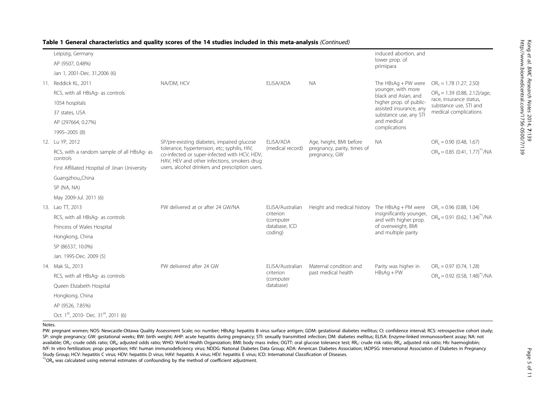| Table 1 General characteristics and quality scores of the 14 studies included in this meta-analysis (Continued) |  |  |  |
|-----------------------------------------------------------------------------------------------------------------|--|--|--|
|-----------------------------------------------------------------------------------------------------------------|--|--|--|

| Leipizig, Germany                                             |                                                                                                                                             |                                                         |                                               | induced abortion, and                                                      |                                                   |
|---------------------------------------------------------------|---------------------------------------------------------------------------------------------------------------------------------------------|---------------------------------------------------------|-----------------------------------------------|----------------------------------------------------------------------------|---------------------------------------------------|
| AP (9507, 0.48%)                                              |                                                                                                                                             |                                                         |                                               | lower prop. of<br>primipara                                                |                                                   |
| Jan 1, 2001-Dec. 31,2006 (6)                                  |                                                                                                                                             |                                                         |                                               |                                                                            |                                                   |
| 11. Reddick KL, 2011                                          | NA/DM, HCV                                                                                                                                  | ELISA/ADA                                               | <b>NA</b>                                     | The $HBSAg + PW$ were                                                      | $OR_c = 1.78$ (1.27, 2.50)                        |
| RCS, with all HBsAq- as controls                              |                                                                                                                                             |                                                         |                                               | younger, with more<br>black and Asian, and                                 | $ORa = 1.39$ (0.88, 2.12)/age,                    |
| 1054 hospitals                                                |                                                                                                                                             |                                                         |                                               | higher prop. of public-<br>assisted insurance, any                         | race, insurance status,<br>substance use, STI and |
| 37 states, USA                                                |                                                                                                                                             |                                                         |                                               | substance use, any STI                                                     | medical complications                             |
| AP (297664, 0.27%)                                            |                                                                                                                                             |                                                         |                                               | and medical<br>complications                                               |                                                   |
| 1995-2005 (8)                                                 |                                                                                                                                             |                                                         |                                               |                                                                            |                                                   |
| 12. Lu YP. 2012                                               | SP/pre-existing diabetes, impaired glucose                                                                                                  | ELISA/ADA                                               | Age, height, BMI before                       | NA.                                                                        | $OR_c = 0.90$ (0.48, 1.67)                        |
| RCS, with a random sample of all HBsAq- as<br>controls        | tolerance, hypertension, etc; syphilis, HIV;<br>co-infected or super-infected with HCV, HDV,<br>HAV, HEV and other infections, smokers drug | (medical record)                                        | pregnancy, parity, times of<br>pregnancy, GW  |                                                                            | $OR_a = 0.85$ (0.41, 1.77) <sup>*1</sup> /NA      |
| First Affiliated Hospital of Jinan University                 | users, alcohol drinkers and prescription users.                                                                                             |                                                         |                                               |                                                                            |                                                   |
| Guangzhou,,China                                              |                                                                                                                                             |                                                         |                                               |                                                                            |                                                   |
| SP (NA, NA)                                                   |                                                                                                                                             |                                                         |                                               |                                                                            |                                                   |
| May 2009-Jul. 2011 (6)                                        |                                                                                                                                             |                                                         |                                               |                                                                            |                                                   |
| 13. Lao TT, 2013                                              | PW delivered at or after 24 GW/NA                                                                                                           | ELISA/Australian<br>criterion<br>(computer              | Height and medical history                    | The $HBSAq + PM$ were<br>insignificantly younger,<br>and with higher prop. | $OR_c = 0.96$ (0.88, 1.04)                        |
| RCS, with all HBsAg- as controls                              |                                                                                                                                             |                                                         |                                               |                                                                            | $OR_a = 0.91$ (0.62, 1.34) <sup>*1</sup> /NA      |
| Princess of Wales Hospital                                    |                                                                                                                                             | database, ICD                                           |                                               | of overweight, BMI                                                         |                                                   |
| Hongkong, China                                               |                                                                                                                                             | coding)                                                 |                                               | and multiple parity                                                        |                                                   |
| SP (86537, 10.0%)                                             |                                                                                                                                             |                                                         |                                               |                                                                            |                                                   |
| Jan. 1995-Dec. 2009 (5)                                       |                                                                                                                                             |                                                         |                                               |                                                                            |                                                   |
| 14. Mak SL, 2013                                              | PW delivered after 24 GW                                                                                                                    | ELISA/Australian<br>criterion<br>(computer<br>database) | Maternal condition and<br>past medical health | Parity was higher in<br>$HBSAq + PW$                                       | $OR_c = 0.97$ (0.74, 1.28)                        |
| RCS, with all HBsAq- as controls                              |                                                                                                                                             |                                                         |                                               |                                                                            | $OR_a = 0.92$ (0.58, 1.48) <sup>*1</sup> /NA      |
| Queen Elizabeth Hospital                                      |                                                                                                                                             |                                                         |                                               |                                                                            |                                                   |
| Hongkong, China                                               |                                                                                                                                             |                                                         |                                               |                                                                            |                                                   |
| AP (9526, 7.85%)                                              |                                                                                                                                             |                                                         |                                               |                                                                            |                                                   |
| Oct. 1 <sup>st</sup> , 2010- Dec. 31 <sup>st</sup> , 2011 (6) |                                                                                                                                             |                                                         |                                               |                                                                            |                                                   |

Notes.

PW: pregnant women; NOS: Newcastle-Ottawa Quality Assessment Scale; no: number; HBsAg: hepatitis B virus surface antigen; GDM: gestational diabetes mellitus; CI: confidence interval; RCS: retrospective cohort study; SP: single pregnancy; GW: gestational weeks; BW: birth weight; AHP: acute hepatitis during pregnancy; STI: sexually transmitted infection; DM: diabetes mellitus; ELISA: Enzyme-linked immunosorbent assay; NA: not available; OR<sub>c</sub>: crude odds ratio; OR<sub>a</sub>: adjusted odds ratio; WHO: World Health Organization; BMI: body mass index; OGTT: oral glucose tolerance test; RR<sub>c</sub>: crude risk ratio; RR<sub>a</sub>: adjusted risk ratio; Hb: haemoglobin; IVF: In vitro fertilization; prop: proportion; HIV: human immunodeficiency virus; NDDG: National Diabetes Data Group; ADA: American Diabetes Association; IADPSG: International Association of Diabetes in Pregnancy<br>Study Gro

 $*$ <sup>1</sup>OR<sub>a</sub> was calculated using external estimates of confounding by the method of coefficient adjustment.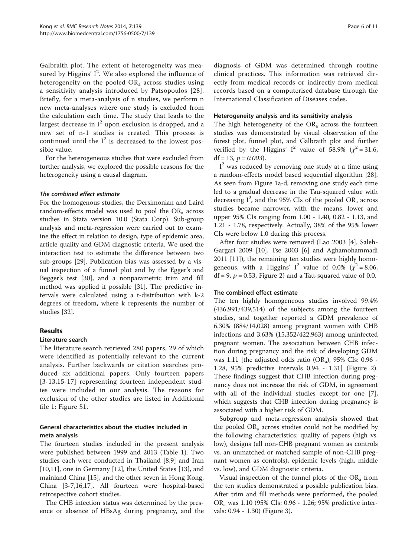Galbraith plot. The extent of heterogeneity was measured by Higgins'  $I^2$ . We also explored the influence of heterogeneity on the pooled  $OR_a$  across studies using a sensitivity analysis introduced by Patsopoulos [[28](#page-10-0)]. Briefly, for a meta-analysis of n studies, we perform n new meta-analyses where one study is excluded from the calculation each time. The study that leads to the largest decrease in  $I^2$  upon exclusion is dropped, and a new set of n-1 studies is created. This process is continued until the  $I^2$  is decreased to the lowest possible value.

For the heterogeneous studies that were excluded from further analysis, we explored the possible reasons for the heterogeneity using a causal diagram.

#### The combined effect estimate

For the homogenous studies, the Dersimonian and Laird random-effects model was used to pool the  $OR_a$  across studies in Stata version 10.0 (Stata Corp). Sub-group analysis and meta-regression were carried out to examine the effect in relation to design, type of epidemic area, article quality and GDM diagnostic criteria. We used the interaction test to estimate the difference between two sub-groups [\[29](#page-10-0)]. Publication bias was assessed by a visual inspection of a funnel plot and by the Egger's and Begger's test [[30\]](#page-10-0), and a nonparametric trim and fill method was applied if possible [[31\]](#page-10-0). The predictive intervals were calculated using a t-distribution with k-2 degrees of freedom, where k represents the number of studies [\[32\]](#page-10-0).

## Results

#### Literature search

The literature search retrieved 280 papers, 29 of which were identified as potentially relevant to the current analysis. Further backwards or citation searches produced six additional papers. Only fourteen papers [[3](#page-9-0)-[13,15-](#page-9-0)[17\]](#page-10-0) representing fourteen independent studies were included in our analysis. The reasons for exclusion of the other studies are listed in Additional file [1:](#page-9-0) Figure S1.

## General characteristics about the studies included in meta analysis

The fourteen studies included in the present analysis were published between 1999 and 2013 (Table [1\)](#page-2-0). Two studies each were conducted in Thailand [[8,9\]](#page-9-0) and Iran [[10,11\]](#page-9-0), one in Germany [[12](#page-9-0)], the United States [\[13](#page-9-0)], and mainland China [\[15\]](#page-9-0), and the other seven in Hong Kong, China [\[3-7](#page-9-0),[16](#page-10-0),[17](#page-10-0)]. All fourteen were hospital-based retrospective cohort studies.

The CHB infection status was determined by the presence or absence of HBsAg during pregnancy, and the

diagnosis of GDM was determined through routine clinical practices. This information was retrieved directly from medical records or indirectly from medical records based on a computerised database through the International Classification of Diseases codes.

#### Heterogeneity analysis and its sensitivity analysis

The high heterogeneity of the  $OR_a$  across the fourteen studies was demonstrated by visual observation of the forest plot, funnel plot, and Galbraith plot and further verified by the Higgins' I<sup>2</sup> value of 58.9% ( $\chi^2$  = 31.6, df = 13,  $p = 0.003$ ).

I<sup>2</sup> was reduced by removing one study at a time using a random-effects model based sequential algorithm [\[28](#page-10-0)]. As seen from Figure [1](#page-6-0)a-d, removing one study each time led to a gradual decrease in the Tau-squared value with decreasing  $I^2$ , and the 95% CIs of the pooled OR<sub>a</sub> across studies became narrower, with the means, lower and upper 95% CIs ranging from 1.00 - 1.40, 0.82 - 1.13, and 1.21 - 1.78, respectively. Actually, 38% of the 95% lower CIs were below 1.0 during this process.

After four studies were removed (Lao 2003 [[4\]](#page-9-0), Saleh-Gargari 2009 [[10](#page-9-0)], Tse 2003 [\[6](#page-9-0)] and Aghamohammadi 2011 [[11\]](#page-9-0)), the remaining ten studies were highly homogeneous, with a Higgins' I<sup>2</sup> value of 0.0% ( $\chi^2$  = 8.06,  $df = 9$ ,  $p = 0.53$ , Figure [2\)](#page-7-0) and a Tau-squared value of 0.0.

## The combined effect estimate

The ten highly homogeneous studies involved 99.4% (436,991/439,514) of the subjects among the fourteen studies, and together reported a GDM prevalence of 6.30% (884/14,028) among pregnant women with CHB infections and 3.63% (15,352/422,963) among uninfected pregnant women. The association between CHB infection during pregnancy and the risk of developing GDM was 1.11 [the adjusted odds ratio  $(OR_a)$ , 95% CIs: 0.96 -1.28, 95% predictive intervals 0.94 - 1.31] (Figure [2](#page-7-0)). These findings suggest that CHB infection during pregnancy does not increase the risk of GDM, in agreement with all of the individual studies except for one [\[7](#page-9-0)], which suggests that CHB infection during pregnancy is associated with a higher risk of GDM.

Subgroup and meta-regression analysis showed that the pooled  $OR_a$  across studies could not be modified by the following characteristics: quality of papers (high vs. low), designs (all non-CHB pregnant women as controls vs. an unmatched or matched sample of non-CHB pregnant women as controls), epidemic levels (high, middle vs. low), and GDM diagnostic criteria.

Visual inspection of the funnel plots of the  $OR_a$  from the ten studies demonstrated a possible publication bias. After trim and fill methods were performed, the pooled ORa was 1.10 (95% CIs: 0.96 - 1.26; 95% predictive intervals: 0.94 - 1.30) (Figure [3](#page-8-0)).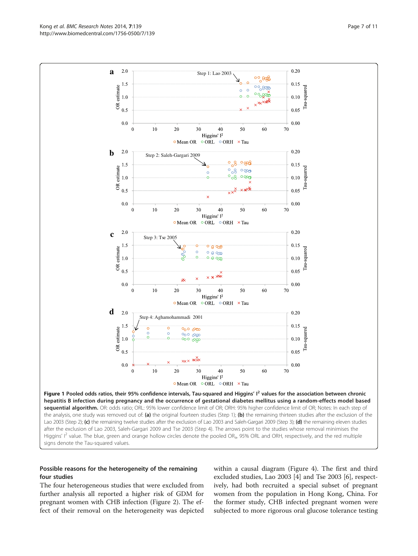Higgins' I<sup>2</sup> value. The blue, green and orange hollow circles denote the pooled OR<sub>a</sub>, 95% ORL and ORH, respectively, and the red multiple signs denote the Tau-squared values.

## Possible reasons for the heterogeneity of the remaining four studies

The four heterogeneous studies that were excluded from further analysis all reported a higher risk of GDM for pregnant women with CHB infection (Figure [2](#page-7-0)). The effect of their removal on the heterogeneity was depicted within a causal diagram (Figure [4\)](#page-8-0). The first and third excluded studies, Lao 2003 [\[4](#page-9-0)] and Tse 2003 [[6\]](#page-9-0), respectively, had both recruited a special subset of pregnant women from the population in Hong Kong, China. For the former study, CHB infected pregnant women were subjected to more rigorous oral glucose tolerance testing

<span id="page-6-0"></span>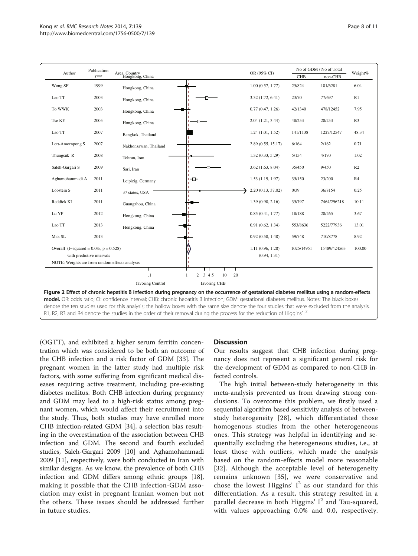<span id="page-7-0"></span>

| Author                                                                    | year |                                                                                                                                             |                  |                                  |            |              |                |
|---------------------------------------------------------------------------|------|---------------------------------------------------------------------------------------------------------------------------------------------|------------------|----------------------------------|------------|--------------|----------------|
|                                                                           |      | Area, Country<br>Hongkong, China                                                                                                            |                  | OR (95% CI)                      | <b>CHB</b> | non-CHB      | Weight%        |
| Wong SF                                                                   | 1999 | Hongkong, China                                                                                                                             |                  | 1.00(0.57, 1.77)                 | 25/824     | 181/6281     | 6.04           |
| Lao TT                                                                    | 2003 | Hongkong, China                                                                                                                             |                  | 3.32 (1.72, 6.41)                | 23/70      | 77/697       | R1             |
| To WWK                                                                    | 2003 | Hongkong, China                                                                                                                             |                  | 0.77(0.47, 1.26)                 | 42/1340    | 478/12452    | 7.95           |
| Tse KY                                                                    | 2005 | Hongkong, China                                                                                                                             |                  | 2.04(1.21, 3.44)                 | 48/253     | 28/253       | R <sub>3</sub> |
| Lao TT                                                                    | 2007 | Bangkok, Thailand                                                                                                                           |                  | 1.24(1.01, 1.52)                 | 141/1138   | 1227/12547   | 48.34          |
| Lert-Amornpong S                                                          | 2007 | Nakhonsawan, Thailand                                                                                                                       |                  | 2.89 (0.55, 15.17)               | 6/164      | 2/162        | 0.71           |
| Thungsuk R                                                                | 2008 | Tehran, Iran                                                                                                                                |                  | 1.32(0.33, 5.29)                 | 5/154      | 4/170        | 1.02           |
| Saleh-Gargari S                                                           | 2009 | Sari, Iran                                                                                                                                  |                  | $3.62$ $(1.63, 8.04)$            | 35/450     | 9/450        | R2             |
| Aghamohammadi A                                                           | 2011 | Leipizig, Germany                                                                                                                           | ⊢−               | 1.53(1.19, 1.97)                 | 35/150     | 23/200       | R4             |
| Lobstein S                                                                | 2011 | 37 states, USA                                                                                                                              |                  | 2.20 (0.13, 37.02)               | 0/39       | 36/8154      | 0.25           |
| Reddick KL                                                                | 2011 | Guangzhou, China                                                                                                                            |                  | 1.39(0.90, 2.16)                 | 35/797     | 7464/296218  | 10.11          |
| Lu YP                                                                     | 2012 | Hongkong, China                                                                                                                             |                  | 0.85(0.41, 1.77)                 | 18/188     | 28/265       | 3.67           |
| Lao TT                                                                    | 2013 | Hongkong, China                                                                                                                             |                  | 0.91(0.62, 1.34)                 | 553/8636   | 5222/77936   | 13.01          |
| Mak SL                                                                    | 2013 |                                                                                                                                             |                  | 0.92(0.58, 1.48)                 | 59/748     | 710/8778     | 8.92           |
| Overall (I-squared = $0.0\%$ , p = $0.528$ )<br>with predictive intervals |      |                                                                                                                                             |                  | 1.11(0.96, 1.28)<br>(0.94, 1.31) | 1025/14951 | 15489/424563 | 100.00         |
| NOTE: Weights are from random effects analysis                            |      |                                                                                                                                             |                  |                                  |            |              |                |
|                                                                           |      | $\cdot$                                                                                                                                     | 2, 3, 4, 5<br>10 | 20                               |            |              |                |
|                                                                           |      | favoring Control                                                                                                                            | favoring CHB     |                                  |            |              |                |
|                                                                           |      | Figure 2 Effect of chronic hepatitis B infection during pregnancy on the occurrence of gestational diabetes mellitus using a random-effects |                  |                                  |            |              |                |

R1, R2, R3 and R4 denote the studies in the order of their removal during the process for the reduction of Higgins' I<sup>2</sup> .

(OGTT), and exhibited a higher serum ferritin concentration which was considered to be both an outcome of the CHB infection and a risk factor of GDM [\[33\]](#page-10-0). The pregnant women in the latter study had multiple risk factors, with some suffering from significant medical diseases requiring active treatment, including pre-existing diabetes mellitus. Both CHB infection during pregnancy and GDM may lead to a high-risk status among pregnant women, which would affect their recruitment into the study. Thus, both studies may have enrolled more CHB infection-related GDM [[34\]](#page-10-0), a selection bias resulting in the overestimation of the association between CHB infection and GDM. The second and fourth excluded studies, Saleh-Gargari 2009 [\[10\]](#page-9-0) and Aghamohammadi 2009 [\[11](#page-9-0)], respectively, were both conducted in Iran with similar designs. As we know, the prevalence of both CHB infection and GDM differs among ethnic groups [[18](#page-10-0)], making it possible that the CHB infection-GDM association may exist in pregnant Iranian women but not the others. These issues should be addressed further in future studies.

#### **Discussion**

Our results suggest that CHB infection during pregnancy does not represent a significant general risk for the development of GDM as compared to non-CHB infected controls.

The high initial between-study heterogeneity in this meta-analysis prevented us from drawing strong conclusions. To overcome this problem, we firstly used a sequential algorithm based sensitivity analysis of betweenstudy heterogeneity [[28](#page-10-0)], which differentiated those homogenous studies from the other heterogeneous ones. This strategy was helpful in identifying and sequentially excluding the heterogeneous studies, i.e., at least those with outliers, which made the analysis based on the random-effects model more reasonable [[32](#page-10-0)]. Although the acceptable level of heterogeneity remains unknown [\[35](#page-10-0)], we were conservative and chose the lowest Higgins'  $I^2$  as our standard for this differentiation. As a result, this strategy resulted in a parallel decrease in both Higgins' I<sup>2</sup> and Tau-squared, with values approaching 0.0% and 0.0, respectively.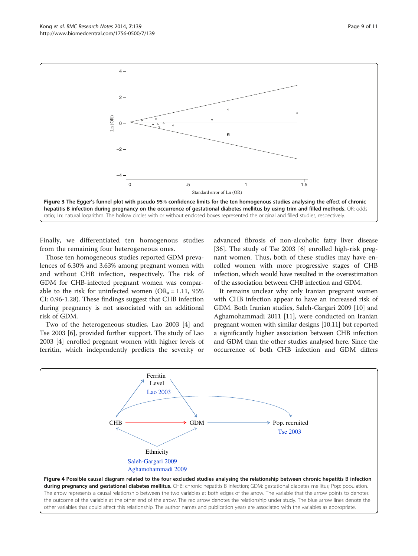<span id="page-8-0"></span>

Finally, we differentiated ten homogenous studies from the remaining four heterogeneous ones.

Those ten homogeneous studies reported GDM prevalences of 6.30% and 3.63% among pregnant women with and without CHB infection, respectively. The risk of GDM for CHB-infected pregnant women was comparable to the risk for uninfected women ( $OR_a = 1.11$ , 95%) CI: 0.96-1.28). These findings suggest that CHB infection during pregnancy is not associated with an additional risk of GDM.

Two of the heterogeneous studies, Lao 2003 [\[4\]](#page-9-0) and Tse 2003 [[6](#page-9-0)], provided further support. The study of Lao 2003 [\[4](#page-9-0)] enrolled pregnant women with higher levels of ferritin, which independently predicts the severity or

advanced fibrosis of non-alcoholic fatty liver disease [[36\]](#page-10-0). The study of Tse 2003 [\[6\]](#page-9-0) enrolled high-risk pregnant women. Thus, both of these studies may have enrolled women with more progressive stages of CHB infection, which would have resulted in the overestimation of the association between CHB infection and GDM.

It remains unclear why only Iranian pregnant women with CHB infection appear to have an increased risk of GDM. Both Iranian studies, Saleh-Gargari 2009 [\[10](#page-9-0)] and Aghamohammadi 2011 [[11](#page-9-0)], were conducted on Iranian pregnant women with similar designs [\[10,11](#page-9-0)] but reported a significantly higher association between CHB infection and GDM than the other studies analysed here. Since the occurrence of both CHB infection and GDM differs

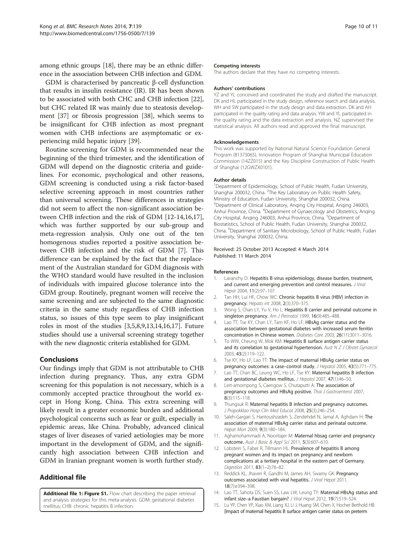<span id="page-9-0"></span>among ethnic groups [[18](#page-10-0)], there may be an ethnic difference in the association between CHB infection and GDM.

GDM is characterised by pancreatic β-cell dysfunction that results in insulin resistance (IR). IR has been shown to be associated with both CHC and CHB infection [\[22](#page-10-0)], but CHC related IR was mainly due to steatosis development [\[37](#page-10-0)] or fibrosis progression [[38\]](#page-10-0), which seems to be insignificant for CHB infection as most pregnant women with CHB infections are asymptomatic or experiencing mild hepatic injury [\[39\]](#page-10-0).

Routine screening for GDM is recommended near the beginning of the third trimester, and the identification of GDM will depend on the diagnostic criteria and guidelines. For economic, psychological and other reasons, GDM screening is conducted using a risk factor-based selective screening approach in most countries rather than universal screening. These differences in strategies did not seem to affect the non-significant association between CHB infection and the risk of GDM [12-14[,16,17](#page-10-0)], which was further supported by our sub-group and meta-regression analysis. Only one out of the ten homogenous studies reported a positive association between CHB infection and the risk of GDM [7]. This difference can be explained by the fact that the replacement of the Australian standard for GDM diagnosis with the WHO standard would have resulted in the inclusion of individuals with impaired glucose tolerance into the GDM group. Routinely, pregnant women will receive the same screening and are subjected to the same diagnostic criteria in the same study regardless of CHB infection status, so issues of this type seem to play insignificant roles in most of the studies [3,5,8,9,13,14[,16,17](#page-10-0)]. Future studies should use a universal screening strategy together with the new diagnostic criteria established for GDM.

## Conclusions

Our findings imply that GDM is not attributable to CHB infection during pregnancy. Thus, any extra GDM screening for this population is not necessary, which is a commonly accepted practice throughout the world except in Hong Kong, China. This extra screening will likely result in a greater economic burden and additional psychological concerns such as fear or guilt, especially in epidemic areas, like China. Probably, advanced clinical stages of liver diseases of varied aetiologies may be more important in the development of GDM, and the significantly high association between CHB infection and GDM in Iranian pregnant women is worth further study.

## Additional file

[Additional file 1: Figure S1.](http://www.biomedcentral.com/content/supplementary/1756-0500-7-139-S1.pptx) Flow chart describing the paper retrieval and analysis strategies for this meta-analysis. GDM: gestational diabetes mellitus; CHB: chronic hepatitis B infection.

#### Competing interests

The authors declare that they have no competing interests.

#### Authors' contributions

YZ and YL conceived and coordinated the study and drafted the manuscript. DK and HL participated in the study design, reference search and data analysis. WH and SW participated in the study design and data extraction. DK and AH participated in the quality rating and data analysis. YW and YL participated in the quality rating and the data extraction and analysis. NZ supervised the statistical analysis. All authors read and approved the final manuscript.

#### Acknowledgements

This work was supported by National Natural Science Foundation General Program (81373065), Innovation Program of Shanghai Municipal Education Commission (14ZZ015) and the Key Discipline Construction of Public Health of Shanghai (12GWZX0101).

#### Author details

<sup>1</sup>Department of Epidemiology, School of Public Health, Fudan University, Shanghai 200032, China. <sup>2</sup>The Key Laboratory on Public Health Safety, Ministry of Education, Fudan University, Shanghai 200032, China. <sup>3</sup>Department of Clinical Laboratory, Anqing City Hospital, Anqing 246003, Anhui Province, China. <sup>4</sup>Department of Gynaecology and Obstetrics, Anqing City Hospital, Anqing 246003, Anhui Province, China. <sup>5</sup>Department of Biostatistics, School of Public Health, Fudan University, Shanghai 200032, China. <sup>6</sup>Department of Sanitary Microbiology, School of Public Health, Fudan University, Shanghai 200032, China.

#### Received: 25 October 2013 Accepted: 4 March 2014 Published: 11 March 2014

#### References

- 1. Lavanchy D: Hepatitis B virus epidemiology, disease burden, treatment, and current and emerging prevention and control measures. J Viral Hepat 2004, 11(2):97–107.
- 2. Tan HH, Lui HF, Chow WC: Chronic hepatitis B virus (HBV) infection in pregnancy. Hepato int 2008, 2(3):370–375.
- 3. Wong S, Chan LY, Yu V, Ho L: Hepatitis B carrier and perinatal outcome in singleton pregnancy. Am J Perinatol 1999, 16(9):485-488.
- 4. Lao TT, Tse KY, Chan LY, Tam KF, Ho LF: HBsAg carrier status and the association between gestational diabetes with increased serum ferritin concentration in Chinese women. Diabetes Care 2003, 26(11):3011–3016.
- 5. To WW, Cheung W, Mok KM: Hepatitis B surface antigen carrier status and its correlation to gestational hypertension. Aust N Z J Obstet Gynaecol 2003, 43(2):119–122.
- 6. Tse KY, Ho LF, Lao TT: The impact of maternal HBsAg carrier status on pregnancy outcomes: a case-control study. J Hepatol 2005, 43(5):771-775
- 7. Lao TT, Chan BC, Leung WC, Ho LF, Tse KY: Maternal hepatitis B infection and gestational diabetes mellitus. J Hepatol 2007, 47(1):46–50.
- 8. Lert-amornpong S, Caengow S, Chutaputti A: The association of pregnancy outcomes and HBsAg positive. Thai J Gastroenterol 2007, 8(3):115–118.
- 9. Thungsuk R: Maternal hepatitis B infection and pregnancy outcomes. J Prapokklao Hosp Clin Med Educat 2008, 25(3):246–254.
- 10. Saleh-Gargari S, Hantoushzadeh S, Zendehdel N, Jamal A, Aghdam H: The association of maternal HBsAg carrier status and perinatal outcome. Hepat Mon 2009, 9(3):180–184.
- 11. Aghamohammadi A, Nooritajer M: Maternal hbsag carrier and pregnancy outcome. Aust J Basic & Appl Sci 2011, 5(3):607–610.
- 12. Lobstein S, Faber R, Tillmann HL: Prevalence of hepatitis B among pregnant women and its impact on pregnancy and newborn complications at a tertiary hospital in the eastern part of Germany. Digestion 2011, 83(1–2):76–82.
- 13. Reddick KL, Jhaveri R, Gandhi M, James AH, Swamy GK: Pregnancy outcomes associated with viral hepatitis. J Viral Hepat 2011, 18(7):e394–398.
- 14. Lao TT, Sahota DS, Suen SS, Law LW, Leung TY: Maternal HBsAg status and infant size–a Faustian bargain? J Viral Hepat 2012, 19(7):519–524.
- 15. Lu YP, Chen YP, Xiao XM, Liang XJ, Li J, Huang SM, Chen X, Hocher Berthold HB: [Impact of maternal hepatitis B surface antigen carrier status on preterm